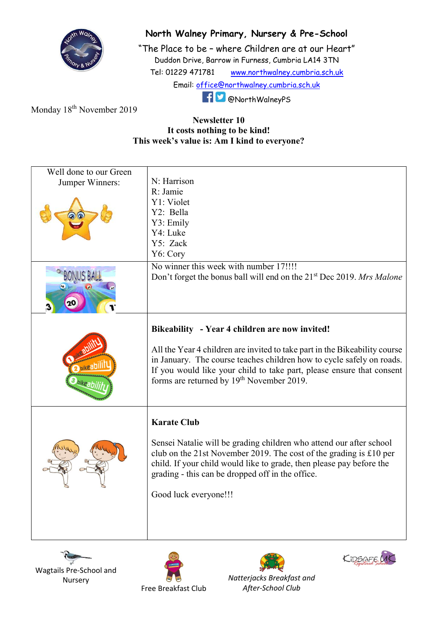

## North Walney Primary, Nursery & Pre-School

"The Place to be – where Children are at our Heart" Duddon Drive, Barrow in Furness, Cumbria LA14 3TN Tel: 01229 471781 www.northwalney.cumbria.sch.uk Email: office@northwalney.cumbria.sch.uk @NorthWalneyPS

Monday 18<sup>th</sup> November 2019

## Newsletter 10 It costs nothing to be kind! This week's value is: Am I kind to everyone?

| Well done to our Green<br>Jumper Winners: | N: Harrison<br>R: Jamie<br>Y1: Violet<br>Y2: Bella<br>Y3: Emily<br>Y4: Luke                                                                                                                                                                                                                                                             |
|-------------------------------------------|-----------------------------------------------------------------------------------------------------------------------------------------------------------------------------------------------------------------------------------------------------------------------------------------------------------------------------------------|
|                                           | Y5: Zack<br>Y6: Cory                                                                                                                                                                                                                                                                                                                    |
|                                           | No winner this week with number 17!!!!<br>Don't forget the bonus ball will end on the 21 <sup>st</sup> Dec 2019. Mrs Malone                                                                                                                                                                                                             |
|                                           | Bikeability - Year 4 children are now invited!<br>All the Year 4 children are invited to take part in the Bikeability course<br>in January. The course teaches children how to cycle safely on roads.<br>If you would like your child to take part, please ensure that consent<br>forms are returned by 19 <sup>th</sup> November 2019. |
|                                           | <b>Karate Club</b><br>Sensei Natalie will be grading children who attend our after school<br>club on the 21st November 2019. The cost of the grading is £10 per<br>child. If your child would like to grade, then please pay before the<br>grading - this can be dropped off in the office.<br>Good luck everyone!!!                    |

Wagtails Pre-School and Nursery





After-School Club

KIDSAFE LIK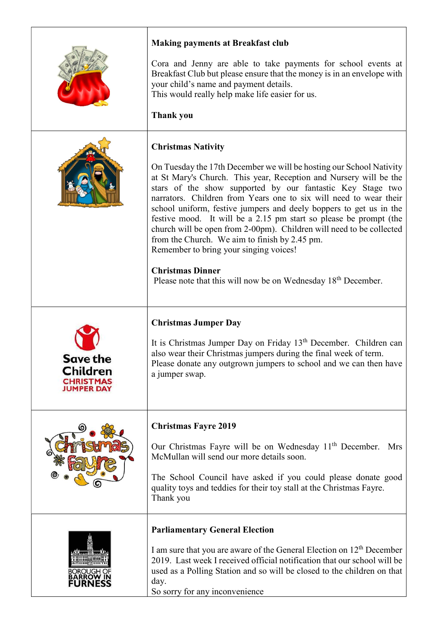|                                                        | <b>Making payments at Breakfast club</b>                                                                                                                                                                                                                                                                                                                                                                                                                                                                                                                                                  |
|--------------------------------------------------------|-------------------------------------------------------------------------------------------------------------------------------------------------------------------------------------------------------------------------------------------------------------------------------------------------------------------------------------------------------------------------------------------------------------------------------------------------------------------------------------------------------------------------------------------------------------------------------------------|
|                                                        | Cora and Jenny are able to take payments for school events at<br>Breakfast Club but please ensure that the money is in an envelope with<br>your child's name and payment details.<br>This would really help make life easier for us.                                                                                                                                                                                                                                                                                                                                                      |
|                                                        | <b>Thank you</b>                                                                                                                                                                                                                                                                                                                                                                                                                                                                                                                                                                          |
|                                                        | <b>Christmas Nativity</b>                                                                                                                                                                                                                                                                                                                                                                                                                                                                                                                                                                 |
|                                                        | On Tuesday the 17th December we will be hosting our School Nativity<br>at St Mary's Church. This year, Reception and Nursery will be the<br>stars of the show supported by our fantastic Key Stage two<br>narrators. Children from Years one to six will need to wear their<br>school uniform, festive jumpers and deely boppers to get us in the<br>festive mood. It will be a 2.15 pm start so please be prompt (the<br>church will be open from 2-00pm). Children will need to be collected<br>from the Church. We aim to finish by 2.45 pm.<br>Remember to bring your singing voices! |
|                                                        | <b>Christmas Dinner</b><br>Please note that this will now be on Wednesday 18 <sup>th</sup> December.                                                                                                                                                                                                                                                                                                                                                                                                                                                                                      |
|                                                        | <b>Christmas Jumper Day</b>                                                                                                                                                                                                                                                                                                                                                                                                                                                                                                                                                               |
| <b>Save the</b><br>Children<br>CHRISTMAS<br>JUMPER DAY | It is Christmas Jumper Day on Friday 13 <sup>th</sup> December. Children can<br>also wear their Christmas jumpers during the final week of term.<br>Please donate any outgrown jumpers to school and we can then have<br>a jumper swap.                                                                                                                                                                                                                                                                                                                                                   |
|                                                        | <b>Christmas Fayre 2019</b>                                                                                                                                                                                                                                                                                                                                                                                                                                                                                                                                                               |
|                                                        | Our Christmas Fayre will be on Wednesday 11 <sup>th</sup> December.<br>Mrs<br>McMullan will send our more details soon.                                                                                                                                                                                                                                                                                                                                                                                                                                                                   |
|                                                        | The School Council have asked if you could please donate good<br>quality toys and teddies for their toy stall at the Christmas Fayre.<br>Thank you                                                                                                                                                                                                                                                                                                                                                                                                                                        |
|                                                        | <b>Parliamentary General Election</b>                                                                                                                                                                                                                                                                                                                                                                                                                                                                                                                                                     |
|                                                        | I am sure that you are aware of the General Election on 12 <sup>th</sup> December<br>2019. Last week I received official notification that our school will be<br>used as a Polling Station and so will be closed to the children on that<br>day.<br>So sorry for any inconvenience                                                                                                                                                                                                                                                                                                        |